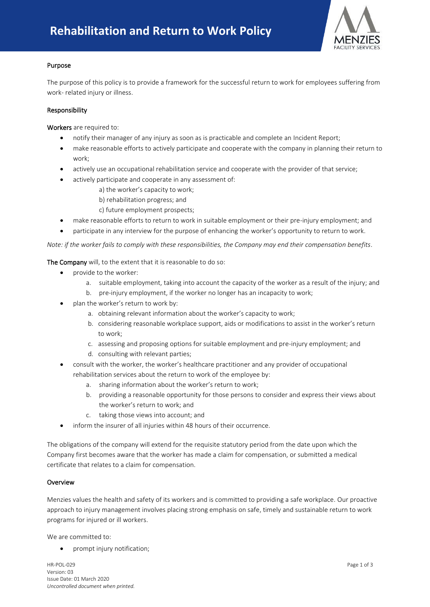

# Purpose

The purpose of this policy is to provide a framework for the successful return to work for employees suffering from work- related injury or illness.

# Responsibility

Workers are required to:

- notify their manager of any injury as soon as is practicable and complete an Incident Report;
- make reasonable efforts to actively participate and cooperate with the company in planning their return to work;
- actively use an occupational rehabilitation service and cooperate with the provider of that service;
- actively participate and cooperate in any assessment of:
	- a) the worker's capacity to work;
	- b) rehabilitation progress; and
	- c) future employment prospects;
- make reasonable efforts to return to work in suitable employment or their pre-injury employment; and
- participate in any interview for the purpose of enhancing the worker's opportunity to return to work.

*Note: if the worker fails to comply with these responsibilities, the Company may end their compensation benefits*.

The Company will, to the extent that it is reasonable to do so:

- provide to the worker:
	- a. suitable employment, taking into account the capacity of the worker as a result of the injury; and
	- b. pre-injury employment, if the worker no longer has an incapacity to work;
- plan the worker's return to work by:
	- a. obtaining relevant information about the worker's capacity to work;
	- b. considering reasonable workplace support, aids or modifications to assist in the worker's return to work;
	- c. assessing and proposing options for suitable employment and pre-injury employment; and
	- d. consulting with relevant parties;
- consult with the worker, the worker's healthcare practitioner and any provider of occupational rehabilitation services about the return to work of the employee by:
	- a. sharing information about the worker's return to work;
	- b. providing a reasonable opportunity for those persons to consider and express their views about the worker's return to work; and
	- c. taking those views into account; and
- inform the insurer of all injuries within 48 hours of their occurrence.

The obligations of the company will extend for the requisite statutory period from the date upon which the Company first becomes aware that the worker has made a claim for compensation, or submitted a medical certificate that relates to a claim for compensation.

### Overview

Menzies values the health and safety of its workers and is committed to providing a safe workplace. Our proactive approach to injury management involves placing strong emphasis on safe, timely and sustainable return to work programs for injured or ill workers.

We are committed to:

• prompt injury notification;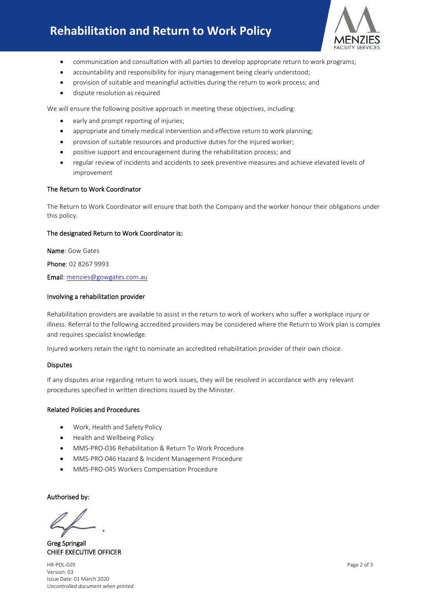# **Rehabilitation and Return to Work Policy**



- communication and consultation with all parties to develop appropriate return to work programs;
- accountability and responsibility for injury management being clearly understood;
- provision of suitable and meaningful activities during the return to work process; and
- dispute resolution as required

We will ensure the following positive approach in meeting these objectives, including:

- early and prompt reporting of injuries;
- appropriate and timely medical intervention and effective return to work planning;
- provision of suitable resources and productive duties for the injured worker;
- positive support and encouragement during the rehabilitation process; and
- regular review of incidents and accidents to seek preventive measures and achieve elevated levels of improvement

### The Return to Work Coordinator

The Return to Work Coordinator will ensure that both the Company and the worker honour their obligations under this policy.

### The designated Return to Work Coordinator is:

Name: Gow Gates

Phone: 02 8267 9993

Email: [menzies@gowgates.com.au](mailto:menzies@gowgates.com.au)

### Involving a rehabilitation provider

Rehabilitation providers are available to assist in the return to work of workers who suffer a workplace injury or illness. Referral to the following accredited providers may be considered where the Return to Work plan is complex and requires specialist knowledge.

Injured workers retain the right to nominate an accredited rehabilitation provider of their own choice.

### Disputes

If any disputes arise regarding return to work issues, they will be resolved in accordance with any relevant procedures specified in written directions issued by the Minister.

### Related Policies and Procedures

- Work, Health and Safety Policy
- Health and Wellbeing Policy
- MMS-PRO-036 Rehabilitation & Return To Work Procedure
- MMS-PRO-046 Hazard & Incident Management Procedure
- MMS-PRO-045 Workers Compensation Procedure

Authorised by:

Greg Springall CHIEF EXECUTIVE OFFICER

HR-POL-029 Page 2 of 3 Version: 03 Issue Date: 01 March 2020 *Uncontrolled document when printed.*